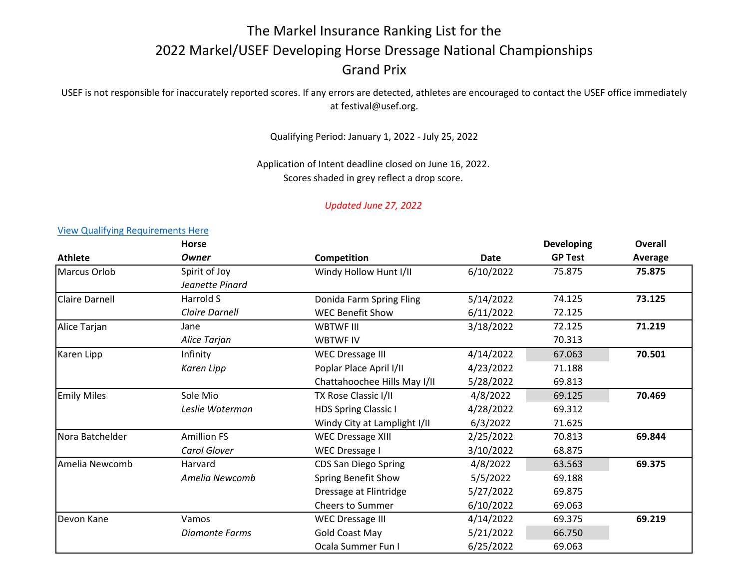# The Markel Insurance Ranking List for the 2022 Markel/USEF Developing Horse Dressage National Championships Grand Prix

## USEF is not responsible for inaccurately reported scores. If any errors are detected, athletes are encouraged to contact the USEF office immediately at festival@usef.org.

Qualifying Period: January 1, 2022 - July 25, 2022

Application of Intent deadline closed on June 16, 2022. Scores shaded in grey reflect a drop score.

### *Updated June 27, 2022*

### **Athlete Horse** *Owner* **Competition Competition Date Developing GP Test Overall Average** Marcus Orlob Spirit of Joy **Mindy Hollow Hunt I/II** 6/10/2022 75.875 75.875 *Jeanette Pinard* Claire Darnell Harrold S Donida Farm Spring Fling 5/14/2022 74.125 **73.125** *Claire Darnell* WEC Benefit Show 6/11/2022 72.125 Alice Tarjan **19. Indeem Conference Conference Conference** VBTWF III 3/18/2022 72.125 **71.219** Alice Tarjan **MBTWF IV 70.313** Karen Lipp **Infinity Infinity** WEC Dressage III 4/14/2022 67.063 **70.501** Karen Lipp **Proplar Place April I/II** 4/23/2022 71.188 Chattahoochee Hills May I/II 5/28/2022 69.813 Emily Miles Sole Mio TX Rose Classic I/II 4/8/2022 69.125 **70.469** *Leslie Waterman* HDS Spring Classic I 4/28/2022 69.312 Windy City at Lamplight  $1/11$  6/3/2022 71.625 Nora Batchelder **Amillion FS** NEC Dressage XIII 2/25/2022 70.813 69.844 *Carol Glover* WEC Dressage I 3/10/2022 68.875 Amelia Newcomb Harvard CDS San Diego Spring 4/8/2022 63.563 **69.375** *Amelia Newcomb* Spring Benefit Show 5/5/2022 69.188 Dressage at Flintridge  $5/27/2022$  69.875 Cheers to Summer 6/10/2022 69.063 Devon Kane Vamos WEC Dressage III 4/14/2022 69.375 **69.219** *Diamonte Farms* Gold Coast May 5/21/2022 66.750 Ocala Summer Fun I 6/25/2022 69.063

#### [View Qualifying Requirements Here](https://www.usef.org/forms-pubs/-wcaeBmlZVI/2022-qualifying-requirements---young-)